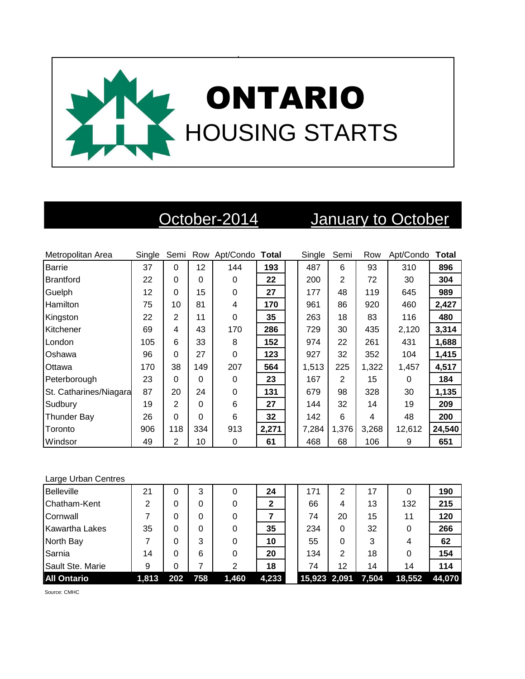

# October-2014 January to October

| Metropolitan Area      | Single | Semi     |     | Row Apt/Condo Total |       | Single | Semi           | Row   | Apt/Condo | Total  |
|------------------------|--------|----------|-----|---------------------|-------|--------|----------------|-------|-----------|--------|
| <b>Barrie</b>          | 37     | $\Omega$ | 12  | 144                 | 193   | 487    | 6              | 93    | 310       | 896    |
| <b>Brantford</b>       | 22     | 0        | 0   | 0                   | 22    | 200    | $\overline{2}$ | 72    | 30        | 304    |
| Guelph                 | 12     | $\Omega$ | 15  | 0                   | 27    | 177    | 48             | 119   | 645       | 989    |
| <b>Hamilton</b>        | 75     | 10       | 81  | 4                   | 170   | 961    | 86             | 920   | 460       | 2,427  |
| Kingston               | 22     | 2        | 11  | 0                   | 35    | 263    | 18             | 83    | 116       | 480    |
| Kitchener              | 69     | 4        | 43  | 170                 | 286   | 729    | 30             | 435   | 2,120     | 3,314  |
| London                 | 105    | 6        | 33  | 8                   | 152   | 974    | 22             | 261   | 431       | 1,688  |
| Oshawa                 | 96     | $\Omega$ | 27  | 0                   | 123   | 927    | 32             | 352   | 104       | 1,415  |
| Ottawa                 | 170    | 38       | 149 | 207                 | 564   | 1,513  | 225            | 1,322 | 1,457     | 4,517  |
| Peterborough           | 23     | $\Omega$ | 0   | 0                   | 23    | 167    | 2              | 15    | 0         | 184    |
| St. Catharines/Niagara | 87     | 20       | 24  | 0                   | 131   | 679    | 98             | 328   | 30        | 1,135  |
| Sudbury                | 19     | 2        | 0   | 6                   | 27    | 144    | 32             | 14    | 19        | 209    |
| Thunder Bay            | 26     | $\Omega$ | 0   | 6                   | 32    | 142    | 6              | 4     | 48        | 200    |
| Toronto                | 906    | 118      | 334 | 913                 | 2,271 | 7,284  | 1,376          | 3,268 | 12,612    | 24,540 |
| Windsor                | 49     | 2        | 10  | 0                   | 61    | 468    | 68             | 106   | 9         | 651    |

### Large Urban Centres

| <b>Belleville</b>     | 21    | 0   | 3   | 0     | 24    | 171                | 2  | 17 |        | 190    |
|-----------------------|-------|-----|-----|-------|-------|--------------------|----|----|--------|--------|
| Chatham-Kent          | 2     | 0   | 0   |       | 2     | 66                 | 4  | 13 | 132    | 215    |
| Cornwall              |       |     | 0   |       |       | 74                 | 20 | 15 | 11     | 120    |
| <b>Kawartha Lakes</b> | 35    | 0   | 0   |       | 35    | 234                | 0  | 32 |        | 266    |
| North Bay             |       |     | 3   |       | 10    | 55                 | 0  | 3  | 4      | 62     |
| Sarnia                | 14    | 0   | 6   | 0     | 20    | 134                | 2  | 18 | 0      | 154    |
| Sault Ste. Marie      | 9     | 0   |     | 2     | 18    | 74                 | 12 | 14 | 14     | 114    |
| <b>All Ontario</b>    | 1.813 | 202 | 758 | 1,460 | 4,233 | 15,923 2,091 7,504 |    |    | 18,552 | 44,070 |

Source: CMHC